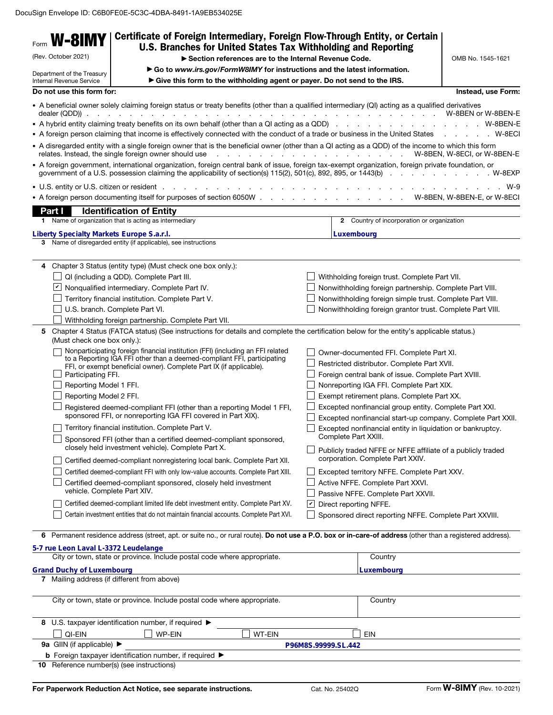| Form                                                                                                                                                                                                            | W-8IMY                                                                                                                               | Certificate of Foreign Intermediary, Foreign Flow-Through Entity, or Certain                                                                                                                                                                                                                                                                                                                                                                                                                                                                                                                                                                                                                                                                                                              |                        |                                                                                                                                                                                                                                                                                                                                                                                                                                                                                                                                                                                                                                                                                    |                             |
|-----------------------------------------------------------------------------------------------------------------------------------------------------------------------------------------------------------------|--------------------------------------------------------------------------------------------------------------------------------------|-------------------------------------------------------------------------------------------------------------------------------------------------------------------------------------------------------------------------------------------------------------------------------------------------------------------------------------------------------------------------------------------------------------------------------------------------------------------------------------------------------------------------------------------------------------------------------------------------------------------------------------------------------------------------------------------------------------------------------------------------------------------------------------------|------------------------|------------------------------------------------------------------------------------------------------------------------------------------------------------------------------------------------------------------------------------------------------------------------------------------------------------------------------------------------------------------------------------------------------------------------------------------------------------------------------------------------------------------------------------------------------------------------------------------------------------------------------------------------------------------------------------|-----------------------------|
| U.S. Branches for United States Tax Withholding and Reporting<br>(Rev. October 2021)                                                                                                                            |                                                                                                                                      |                                                                                                                                                                                                                                                                                                                                                                                                                                                                                                                                                                                                                                                                                                                                                                                           |                        |                                                                                                                                                                                                                                                                                                                                                                                                                                                                                                                                                                                                                                                                                    |                             |
|                                                                                                                                                                                                                 |                                                                                                                                      | Section references are to the Internal Revenue Code.                                                                                                                                                                                                                                                                                                                                                                                                                                                                                                                                                                                                                                                                                                                                      |                        |                                                                                                                                                                                                                                                                                                                                                                                                                                                                                                                                                                                                                                                                                    | OMB No. 1545-1621           |
| Go to www.irs.gov/FormW8IMY for instructions and the latest information.<br>Department of the Treasury<br>Internal Revenue Service<br>Give this form to the withholding agent or payer. Do not send to the IRS. |                                                                                                                                      |                                                                                                                                                                                                                                                                                                                                                                                                                                                                                                                                                                                                                                                                                                                                                                                           |                        |                                                                                                                                                                                                                                                                                                                                                                                                                                                                                                                                                                                                                                                                                    |                             |
|                                                                                                                                                                                                                 | Do not use this form for:                                                                                                            |                                                                                                                                                                                                                                                                                                                                                                                                                                                                                                                                                                                                                                                                                                                                                                                           |                        |                                                                                                                                                                                                                                                                                                                                                                                                                                                                                                                                                                                                                                                                                    | Instead, use Form:          |
|                                                                                                                                                                                                                 | dealer (QDD)).                                                                                                                       | • A beneficial owner solely claiming foreign status or treaty benefits (other than a qualified intermediary (QI) acting as a qualified derivatives                                                                                                                                                                                                                                                                                                                                                                                                                                                                                                                                                                                                                                        |                        |                                                                                                                                                                                                                                                                                                                                                                                                                                                                                                                                                                                                                                                                                    |                             |
|                                                                                                                                                                                                                 |                                                                                                                                      |                                                                                                                                                                                                                                                                                                                                                                                                                                                                                                                                                                                                                                                                                                                                                                                           |                        |                                                                                                                                                                                                                                                                                                                                                                                                                                                                                                                                                                                                                                                                                    |                             |
|                                                                                                                                                                                                                 |                                                                                                                                      | • A foreign person claiming that income is effectively connected with the conduct of a trade or business in the United States W-8ECI                                                                                                                                                                                                                                                                                                                                                                                                                                                                                                                                                                                                                                                      |                        |                                                                                                                                                                                                                                                                                                                                                                                                                                                                                                                                                                                                                                                                                    |                             |
|                                                                                                                                                                                                                 |                                                                                                                                      | • A disregarded entity with a single foreign owner that is the beneficial owner (other than a QI acting as a QDD) of the income to which this form<br>relates. Instead, the single foreign owner should use                                                                                                                                                                                                                                                                                                                                                                                                                                                                                                                                                                               |                        | . W-8BEN, W-8ECI, or W-8BEN-E                                                                                                                                                                                                                                                                                                                                                                                                                                                                                                                                                                                                                                                      |                             |
|                                                                                                                                                                                                                 |                                                                                                                                      | • A foreign government, international organization, foreign central bank of issue, foreign tax-exempt organization, foreign private foundation, or                                                                                                                                                                                                                                                                                                                                                                                                                                                                                                                                                                                                                                        |                        |                                                                                                                                                                                                                                                                                                                                                                                                                                                                                                                                                                                                                                                                                    |                             |
|                                                                                                                                                                                                                 |                                                                                                                                      |                                                                                                                                                                                                                                                                                                                                                                                                                                                                                                                                                                                                                                                                                                                                                                                           |                        |                                                                                                                                                                                                                                                                                                                                                                                                                                                                                                                                                                                                                                                                                    | W-9                         |
|                                                                                                                                                                                                                 |                                                                                                                                      |                                                                                                                                                                                                                                                                                                                                                                                                                                                                                                                                                                                                                                                                                                                                                                                           |                        |                                                                                                                                                                                                                                                                                                                                                                                                                                                                                                                                                                                                                                                                                    | W-8BEN, W-8BEN-E, or W-8ECI |
|                                                                                                                                                                                                                 |                                                                                                                                      |                                                                                                                                                                                                                                                                                                                                                                                                                                                                                                                                                                                                                                                                                                                                                                                           |                        |                                                                                                                                                                                                                                                                                                                                                                                                                                                                                                                                                                                                                                                                                    |                             |
|                                                                                                                                                                                                                 | Part I                                                                                                                               | <b>Identification of Entity</b>                                                                                                                                                                                                                                                                                                                                                                                                                                                                                                                                                                                                                                                                                                                                                           |                        |                                                                                                                                                                                                                                                                                                                                                                                                                                                                                                                                                                                                                                                                                    |                             |
|                                                                                                                                                                                                                 |                                                                                                                                      | 1 Name of organization that is acting as intermediary                                                                                                                                                                                                                                                                                                                                                                                                                                                                                                                                                                                                                                                                                                                                     |                        | 2 Country of incorporation or organization                                                                                                                                                                                                                                                                                                                                                                                                                                                                                                                                                                                                                                         |                             |
|                                                                                                                                                                                                                 | Liberty Specialty Markets Europe S.a.r.l.                                                                                            |                                                                                                                                                                                                                                                                                                                                                                                                                                                                                                                                                                                                                                                                                                                                                                                           |                        | Luxembourg                                                                                                                                                                                                                                                                                                                                                                                                                                                                                                                                                                                                                                                                         |                             |
|                                                                                                                                                                                                                 |                                                                                                                                      | 3 Name of disregarded entity (if applicable), see instructions                                                                                                                                                                                                                                                                                                                                                                                                                                                                                                                                                                                                                                                                                                                            |                        |                                                                                                                                                                                                                                                                                                                                                                                                                                                                                                                                                                                                                                                                                    |                             |
|                                                                                                                                                                                                                 |                                                                                                                                      |                                                                                                                                                                                                                                                                                                                                                                                                                                                                                                                                                                                                                                                                                                                                                                                           |                        |                                                                                                                                                                                                                                                                                                                                                                                                                                                                                                                                                                                                                                                                                    |                             |
| 4                                                                                                                                                                                                               |                                                                                                                                      | Chapter 3 Status (entity type) (Must check one box only.):                                                                                                                                                                                                                                                                                                                                                                                                                                                                                                                                                                                                                                                                                                                                |                        |                                                                                                                                                                                                                                                                                                                                                                                                                                                                                                                                                                                                                                                                                    |                             |
|                                                                                                                                                                                                                 |                                                                                                                                      | QI (including a QDD). Complete Part III.                                                                                                                                                                                                                                                                                                                                                                                                                                                                                                                                                                                                                                                                                                                                                  |                        | Withholding foreign trust. Complete Part VII.                                                                                                                                                                                                                                                                                                                                                                                                                                                                                                                                                                                                                                      |                             |
|                                                                                                                                                                                                                 |                                                                                                                                      | ■ Nonqualified intermediary. Complete Part IV.                                                                                                                                                                                                                                                                                                                                                                                                                                                                                                                                                                                                                                                                                                                                            |                        | Nonwithholding foreign partnership. Complete Part VIII.                                                                                                                                                                                                                                                                                                                                                                                                                                                                                                                                                                                                                            |                             |
|                                                                                                                                                                                                                 |                                                                                                                                      | Territory financial institution. Complete Part V.                                                                                                                                                                                                                                                                                                                                                                                                                                                                                                                                                                                                                                                                                                                                         |                        | Nonwithholding foreign simple trust. Complete Part VIII.                                                                                                                                                                                                                                                                                                                                                                                                                                                                                                                                                                                                                           |                             |
|                                                                                                                                                                                                                 |                                                                                                                                      | U.S. branch. Complete Part VI.                                                                                                                                                                                                                                                                                                                                                                                                                                                                                                                                                                                                                                                                                                                                                            |                        | Nonwithholding foreign grantor trust. Complete Part VIII.                                                                                                                                                                                                                                                                                                                                                                                                                                                                                                                                                                                                                          |                             |
|                                                                                                                                                                                                                 |                                                                                                                                      | Withholding foreign partnership. Complete Part VII.                                                                                                                                                                                                                                                                                                                                                                                                                                                                                                                                                                                                                                                                                                                                       |                        |                                                                                                                                                                                                                                                                                                                                                                                                                                                                                                                                                                                                                                                                                    |                             |
|                                                                                                                                                                                                                 | (Must check one box only.):<br>Participating FFI.<br>Reporting Model 1 FFI.<br>Reporting Model 2 FFI.<br>vehicle. Complete Part XIV. | Nonparticipating foreign financial institution (FFI) (including an FFI related<br>to a Reporting IGA FFI other than a deemed-compliant FFI, participating<br>FFI, or exempt beneficial owner). Complete Part IX (if applicable).<br>Registered deemed-compliant FFI (other than a reporting Model 1 FFI,<br>sponsored FFI, or nonreporting IGA FFI covered in Part XIX).<br>Territory financial institution. Complete Part V.<br>Sponsored FFI (other than a certified deemed-compliant sponsored,<br>closely held investment vehicle). Complete Part X.<br>Certified deemed-compliant nonregistering local bank. Complete Part XII.<br>Certified deemed-compliant FFI with only low-value accounts. Complete Part XIII.<br>Certified deemed-compliant sponsored, closely held investment |                        | Owner-documented FFI. Complete Part XI.<br>Restricted distributor. Complete Part XVII.<br>Foreign central bank of issue. Complete Part XVIII.<br>Nonreporting IGA FFI. Complete Part XIX.<br>Exempt retirement plans. Complete Part XX.<br>Excepted nonfinancial group entity. Complete Part XXI.<br>Excepted nonfinancial start-up company. Complete Part XXII.<br>Excepted nonfinancial entity in liquidation or bankruptcy.<br>Complete Part XXIII.<br>Publicly traded NFFE or NFFE affiliate of a publicly traded<br>corporation. Complete Part XXIV.<br>Excepted territory NFFE. Complete Part XXV.<br>Active NFFE. Complete Part XXVI.<br>Passive NFFE. Complete Part XXVII. |                             |
|                                                                                                                                                                                                                 |                                                                                                                                      | Certified deemed-compliant limited life debt investment entity. Complete Part XV.                                                                                                                                                                                                                                                                                                                                                                                                                                                                                                                                                                                                                                                                                                         | $\vert\mathbf{v}\vert$ | Direct reporting NFFE.                                                                                                                                                                                                                                                                                                                                                                                                                                                                                                                                                                                                                                                             |                             |
|                                                                                                                                                                                                                 |                                                                                                                                      | Certain investment entities that do not maintain financial accounts. Complete Part XVI.                                                                                                                                                                                                                                                                                                                                                                                                                                                                                                                                                                                                                                                                                                   |                        | Sponsored direct reporting NFFE. Complete Part XXVIII.                                                                                                                                                                                                                                                                                                                                                                                                                                                                                                                                                                                                                             |                             |
| 6                                                                                                                                                                                                               |                                                                                                                                      | Permanent residence address (street, apt. or suite no., or rural route). Do not use a P.O. box or in-care-of address (other than a registered address).                                                                                                                                                                                                                                                                                                                                                                                                                                                                                                                                                                                                                                   |                        |                                                                                                                                                                                                                                                                                                                                                                                                                                                                                                                                                                                                                                                                                    |                             |
|                                                                                                                                                                                                                 | 5-7 rue Leon Laval L-3372 Leudelange                                                                                                 |                                                                                                                                                                                                                                                                                                                                                                                                                                                                                                                                                                                                                                                                                                                                                                                           |                        |                                                                                                                                                                                                                                                                                                                                                                                                                                                                                                                                                                                                                                                                                    |                             |
|                                                                                                                                                                                                                 |                                                                                                                                      | City or town, state or province. Include postal code where appropriate.                                                                                                                                                                                                                                                                                                                                                                                                                                                                                                                                                                                                                                                                                                                   |                        | Country                                                                                                                                                                                                                                                                                                                                                                                                                                                                                                                                                                                                                                                                            |                             |
|                                                                                                                                                                                                                 | <b>Grand Duchy of Luxembourg</b>                                                                                                     |                                                                                                                                                                                                                                                                                                                                                                                                                                                                                                                                                                                                                                                                                                                                                                                           |                        | Luxembourg                                                                                                                                                                                                                                                                                                                                                                                                                                                                                                                                                                                                                                                                         |                             |
|                                                                                                                                                                                                                 |                                                                                                                                      | 7 Mailing address (if different from above)                                                                                                                                                                                                                                                                                                                                                                                                                                                                                                                                                                                                                                                                                                                                               |                        |                                                                                                                                                                                                                                                                                                                                                                                                                                                                                                                                                                                                                                                                                    |                             |
|                                                                                                                                                                                                                 |                                                                                                                                      | City or town, state or province. Include postal code where appropriate.                                                                                                                                                                                                                                                                                                                                                                                                                                                                                                                                                                                                                                                                                                                   |                        | Country                                                                                                                                                                                                                                                                                                                                                                                                                                                                                                                                                                                                                                                                            |                             |
|                                                                                                                                                                                                                 |                                                                                                                                      | 8 U.S. taxpayer identification number, if required $\blacktriangleright$                                                                                                                                                                                                                                                                                                                                                                                                                                                                                                                                                                                                                                                                                                                  |                        |                                                                                                                                                                                                                                                                                                                                                                                                                                                                                                                                                                                                                                                                                    |                             |
|                                                                                                                                                                                                                 | QI-EIN                                                                                                                               | <b>WP-EIN</b><br>WT-EIN                                                                                                                                                                                                                                                                                                                                                                                                                                                                                                                                                                                                                                                                                                                                                                   |                        | EIN                                                                                                                                                                                                                                                                                                                                                                                                                                                                                                                                                                                                                                                                                |                             |
|                                                                                                                                                                                                                 | 9a GIIN (if applicable) ▶                                                                                                            |                                                                                                                                                                                                                                                                                                                                                                                                                                                                                                                                                                                                                                                                                                                                                                                           | P96M8S.99999.SL.442    |                                                                                                                                                                                                                                                                                                                                                                                                                                                                                                                                                                                                                                                                                    |                             |
|                                                                                                                                                                                                                 |                                                                                                                                      | <b>b</b> Foreign taxpayer identification number, if required $\blacktriangleright$                                                                                                                                                                                                                                                                                                                                                                                                                                                                                                                                                                                                                                                                                                        |                        |                                                                                                                                                                                                                                                                                                                                                                                                                                                                                                                                                                                                                                                                                    |                             |
|                                                                                                                                                                                                                 |                                                                                                                                      | 10 Reference number(s) (see instructions)                                                                                                                                                                                                                                                                                                                                                                                                                                                                                                                                                                                                                                                                                                                                                 |                        |                                                                                                                                                                                                                                                                                                                                                                                                                                                                                                                                                                                                                                                                                    |                             |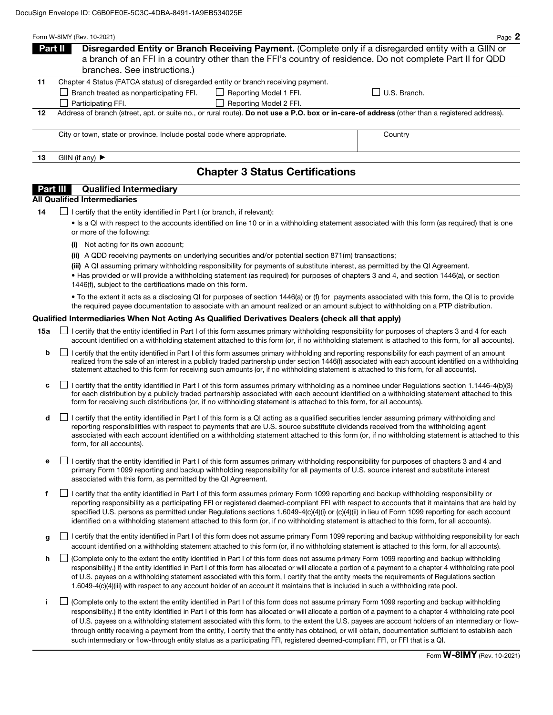|                                                                                                                                                     | Form W-8IMY (Rev. 10-2021)                                              |                                                                                                       | Page 2                                                                                                     |  |  |
|-----------------------------------------------------------------------------------------------------------------------------------------------------|-------------------------------------------------------------------------|-------------------------------------------------------------------------------------------------------|------------------------------------------------------------------------------------------------------------|--|--|
|                                                                                                                                                     | Part II                                                                 | Disregarded Entity or Branch Receiving Payment. (Complete only if a disregarded entity with a GIIN or |                                                                                                            |  |  |
|                                                                                                                                                     |                                                                         |                                                                                                       | a branch of an FFI in a country other than the FFI's country of residence. Do not complete Part II for QDD |  |  |
|                                                                                                                                                     | branches. See instructions.)                                            |                                                                                                       |                                                                                                            |  |  |
| 11                                                                                                                                                  |                                                                         |                                                                                                       |                                                                                                            |  |  |
|                                                                                                                                                     | Branch treated as nonparticipating FFI.                                 | Reporting Model 1 FFI.                                                                                | U.S. Branch.                                                                                               |  |  |
|                                                                                                                                                     | Participating FFI.                                                      | Reporting Model 2 FFI.                                                                                |                                                                                                            |  |  |
| Address of branch (street, apt. or suite no., or rural route). Do not use a P.O. box or in-care-of address (other than a registered address).<br>12 |                                                                         |                                                                                                       |                                                                                                            |  |  |
|                                                                                                                                                     |                                                                         |                                                                                                       |                                                                                                            |  |  |
|                                                                                                                                                     | City or town, state or province. Include postal code where appropriate. |                                                                                                       | Country                                                                                                    |  |  |
| 13                                                                                                                                                  | GIIN (if any) $\blacktriangleright$                                     |                                                                                                       |                                                                                                            |  |  |
|                                                                                                                                                     |                                                                         | <b>Chapter 3 Status Certifications</b>                                                                |                                                                                                            |  |  |

### **Part III** Qualified Intermediary

## All Qualified Intermediaries

 $14$   $\Box$  I certify that the entity identified in Part I (or branch, if relevant):

• Is a QI with respect to the accounts identified on line 10 or in a withholding statement associated with this form (as required) that is one or more of the following:

- (i) Not acting for its own account;
- (ii) A QDD receiving payments on underlying securities and/or potential section 871(m) transactions;

(iii) A QI assuming primary withholding responsibility for payments of substitute interest, as permitted by the QI Agreement.

• Has provided or will provide a withholding statement (as required) for purposes of chapters 3 and 4, and section 1446(a), or section 1446(f), subject to the certifications made on this form.

• To the extent it acts as a disclosing QI for purposes of section 1446(a) or (f) for payments associated with this form, the QI is to provide the required payee documentation to associate with an amount realized or an amount subject to withholding on a PTP distribution.

### Qualified Intermediaries When Not Acting As Qualified Derivatives Dealers (check all that apply)

- **15a** □ certify that the entity identified in Part I of this form assumes primary withholding responsibility for purposes of chapters 3 and 4 for each account identified on a withholding statement attached to this form (or, if no withholding statement is attached to this form, for all accounts).
	- **b**  $\Box$  I certify that the entity identified in Part I of this form assumes primary withholding and reporting responsibility for each payment of an amount realized from the sale of an interest in a publicly traded partnership under section 1446(f) associated with each account identified on a withholding statement attached to this form for receiving such amounts (or, if no withholding statement is attached to this form, for all accounts).
	- c  $\Box$  I certify that the entity identified in Part I of this form assumes primary withholding as a nominee under Regulations section 1.1446-4(b)(3) for each distribution by a publicly traded partnership associated with each account identified on a withholding statement attached to this form for receiving such distributions (or, if no withholding statement is attached to this form, for all accounts).
	- $\mathsf{d}$  I certify that the entity identified in Part I of this form is a QI acting as a qualified securities lender assuming primary withholding and reporting responsibilities with respect to payments that are U.S. source substitute dividends received from the withholding agent associated with each account identified on a withholding statement attached to this form (or, if no withholding statement is attached to this form, for all accounts).
	- e  $\Box$  I certify that the entity identified in Part I of this form assumes primary withholding responsibility for purposes of chapters 3 and 4 and primary Form 1099 reporting and backup withholding responsibility for all payments of U.S. source interest and substitute interest associated with this form, as permitted by the QI Agreement.
	- f  $\Box$  I certify that the entity identified in Part I of this form assumes primary Form 1099 reporting and backup withholding responsibility or reporting responsibility as a participating FFI or registered deemed-compliant FFI with respect to accounts that it maintains that are held by specified U.S. persons as permitted under Regulations sections 1.6049-4(c)(4)(i) or (c)(4)(ii) in lieu of Form 1099 reporting for each account identified on a withholding statement attached to this form (or, if no withholding statement is attached to this form, for all accounts).
	- q I certify that the entity identified in Part I of this form does not assume primary Form 1099 reporting and backup withholding responsibility for each account identified on a withholding statement attached to this form (or, if no withholding statement is attached to this form, for all accounts).
	- h  $\Box$  (Complete only to the extent the entity identified in Part I of this form does not assume primary Form 1099 reporting and backup withholding responsibility.) If the entity identified in Part I of this form has allocated or will allocate a portion of a payment to a chapter 4 withholding rate pool of U.S. payees on a withholding statement associated with this form, I certify that the entity meets the requirements of Regulations section 1.6049-4(c)(4)(iii) with respect to any account holder of an account it maintains that is included in such a withholding rate pool.
	- i (Complete only to the extent the entity identified in Part I of this form does not assume primary Form 1099 reporting and backup withholding responsibility.) If the entity identified in Part I of this form has allocated or will allocate a portion of a payment to a chapter 4 withholding rate pool of U.S. payees on a withholding statement associated with this form, to the extent the U.S. payees are account holders of an intermediary or flowthrough entity receiving a payment from the entity, I certify that the entity has obtained, or will obtain, documentation sufficient to establish each such intermediary or flow-through entity status as a participating FFI, registered deemed-compliant FFI, or FFI that is a QI.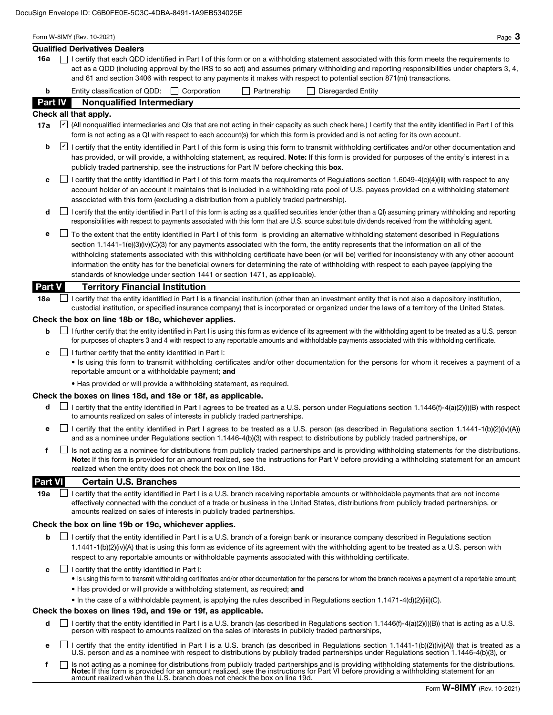|                | Form W-8IMY (Rev. 10-2021)<br>Page $3$                                                                                                                                                                                                                                                                                                                                                                                                                                                                                                                                                                                                                    |
|----------------|-----------------------------------------------------------------------------------------------------------------------------------------------------------------------------------------------------------------------------------------------------------------------------------------------------------------------------------------------------------------------------------------------------------------------------------------------------------------------------------------------------------------------------------------------------------------------------------------------------------------------------------------------------------|
| 16a            | <b>Qualified Derivatives Dealers</b><br>I certify that each QDD identified in Part I of this form or on a withholding statement associated with this form meets the requirements to                                                                                                                                                                                                                                                                                                                                                                                                                                                                       |
|                | act as a QDD (including approval by the IRS to so act) and assumes primary withholding and reporting responsibilities under chapters 3, 4,<br>and 61 and section 3406 with respect to any payments it makes with respect to potential section 871(m) transactions.                                                                                                                                                                                                                                                                                                                                                                                        |
| b              | Entity classification of QDD:   Corporation<br>Partnership<br>$\Box$ Disregarded Entity                                                                                                                                                                                                                                                                                                                                                                                                                                                                                                                                                                   |
| <b>Part IV</b> | <b>Nonqualified Intermediary</b>                                                                                                                                                                                                                                                                                                                                                                                                                                                                                                                                                                                                                          |
|                | Check all that apply.                                                                                                                                                                                                                                                                                                                                                                                                                                                                                                                                                                                                                                     |
| 17a            | $ v $ (All nonqualified intermediaries and QIs that are not acting in their capacity as such check here.) I certify that the entity identified in Part I of this<br>form is not acting as a QI with respect to each account(s) for which this form is provided and is not acting for its own account.                                                                                                                                                                                                                                                                                                                                                     |
| b              | I certify that the entity identified in Part I of this form is using this form to transmit withholding certificates and/or other documentation and<br>has provided, or will provide, a withholding statement, as required. Note: If this form is provided for purposes of the entity's interest in a<br>publicly traded partnership, see the instructions for Part IV before checking this box.                                                                                                                                                                                                                                                           |
| c              | I certify that the entity identified in Part I of this form meets the requirements of Regulations section 1.6049-4(c)(4)(iii) with respect to any<br>account holder of an account it maintains that is included in a withholding rate pool of U.S. payees provided on a withholding statement<br>associated with this form (excluding a distribution from a publicly traded partnership).                                                                                                                                                                                                                                                                 |
| d              | L certify that the entity identified in Part I of this form is acting as a qualified securities lender (other than a QI) assuming primary withholding and reporting<br>responsibilities with respect to payments associated with this form that are U.S. source substitute dividends received from the withholding agent.                                                                                                                                                                                                                                                                                                                                 |
| е              | To the extent that the entity identified in Part I of this form is providing an alternative withholding statement described in Regulations<br>section 1.1441-1(e)(3)(iv)(C)(3) for any payments associated with the form, the entity represents that the information on all of the<br>withholding statements associated with this withholding certificate have been (or will be) verified for inconsistency with any other account<br>information the entity has for the beneficial owners for determining the rate of withholding with respect to each payee (applying the<br>standards of knowledge under section 1441 or section 1471, as applicable). |
| Part V         | <b>Territory Financial Institution</b>                                                                                                                                                                                                                                                                                                                                                                                                                                                                                                                                                                                                                    |
| 18a            | I certify that the entity identified in Part I is a financial institution (other than an investment entity that is not also a depository institution,<br>custodial institution, or specified insurance company) that is incorporated or organized under the laws of a territory of the United States.                                                                                                                                                                                                                                                                                                                                                     |
|                | Check the box on line 18b or 18c, whichever applies.                                                                                                                                                                                                                                                                                                                                                                                                                                                                                                                                                                                                      |
| b              | I further certify that the entity identified in Part I is using this form as evidence of its agreement with the withholding agent to be treated as a U.S. person<br>for purposes of chapters 3 and 4 with respect to any reportable amounts and withholdable payments associated with this withholding certificate.                                                                                                                                                                                                                                                                                                                                       |
| c              | $\Box$ I further certify that the entity identified in Part I:<br>. Is using this form to transmit withholding certificates and/or other documentation for the persons for whom it receives a payment of a<br>reportable amount or a withholdable payment; and                                                                                                                                                                                                                                                                                                                                                                                            |
|                | . Has provided or will provide a withholding statement, as required.                                                                                                                                                                                                                                                                                                                                                                                                                                                                                                                                                                                      |
|                | Check the boxes on lines 18d, and 18e or 18f, as applicable.                                                                                                                                                                                                                                                                                                                                                                                                                                                                                                                                                                                              |
| d              | I certify that the entity identified in Part I agrees to be treated as a U.S. person under Regulations section 1.1446(f)-4(a)(2)(i)(B) with respect<br>to amounts realized on sales of interests in publicly traded partnerships.                                                                                                                                                                                                                                                                                                                                                                                                                         |
| е              | I certify that the entity identified in Part I agrees to be treated as a U.S. person (as described in Regulations section 1.1441-1(b)(2)(iv)(A))<br>and as a nominee under Regulations section 1.1446-4(b)(3) with respect to distributions by publicly traded partnerships, or                                                                                                                                                                                                                                                                                                                                                                           |
| f              | Is not acting as a nominee for distributions from publicly traded partnerships and is providing withholding statements for the distributions.<br>Note: If this form is provided for an amount realized, see the instructions for Part V before providing a withholding statement for an amount<br>realized when the entity does not check the box on line 18d.                                                                                                                                                                                                                                                                                            |
| <b>Part VI</b> | <b>Certain U.S. Branches</b>                                                                                                                                                                                                                                                                                                                                                                                                                                                                                                                                                                                                                              |
| 19a            | I certify that the entity identified in Part I is a U.S. branch receiving reportable amounts or withholdable payments that are not income<br>effectively connected with the conduct of a trade or business in the United States, distributions from publicly traded partnerships, or<br>amounts realized on sales of interests in publicly traded partnerships.                                                                                                                                                                                                                                                                                           |
|                | Check the box on line 19b or 19c, whichever applies.                                                                                                                                                                                                                                                                                                                                                                                                                                                                                                                                                                                                      |
| b              | I certify that the entity identified in Part I is a U.S. branch of a foreign bank or insurance company described in Regulations section<br>1.1441-1(b)(2)(iv)(A) that is using this form as evidence of its agreement with the withholding agent to be treated as a U.S. person with<br>respect to any reportable amounts or withholdable payments associated with this withholding certificate.                                                                                                                                                                                                                                                          |
| c              | $\Box$ I certify that the entity identified in Part I:<br>. Is using this form to transmit withholding certificates and/or other documentation for the persons for whom the branch receives a payment of a reportable amount;                                                                                                                                                                                                                                                                                                                                                                                                                             |
|                | • Has provided or will provide a withholding statement, as required; and                                                                                                                                                                                                                                                                                                                                                                                                                                                                                                                                                                                  |
|                | • In the case of a withholdable payment, is applying the rules described in Regulations section 1.1471-4(d)(2)(iii)(C).                                                                                                                                                                                                                                                                                                                                                                                                                                                                                                                                   |
|                | Check the boxes on lines 19d, and 19e or 19f, as applicable.                                                                                                                                                                                                                                                                                                                                                                                                                                                                                                                                                                                              |
| d              | I certify that the entity identified in Part I is a U.S. branch (as described in Regulations section 1.1446(f)-4(a)(2)(i)(B)) that is acting as a U.S.<br>person with respect to amounts realized on the sales of interests in publicly traded partnerships.                                                                                                                                                                                                                                                                                                                                                                                              |

- **e**  $\Box$  I certify that the entity identified in Part I is a U.S. branch (as described in Regulations section 1.1441-1(b)(2)(iv)(A)) that is treated as a U.S. person and as a nominee with respect to distributions by publicly traded partnerships under Regulations section 1.1446-4(b)(3), or
- Is not acting as a nominee for distributions from publicly traded partnerships and is providing withholding statements for the distributions.<br>**Note:** If this form is provided for an amount realized, see the instructions fo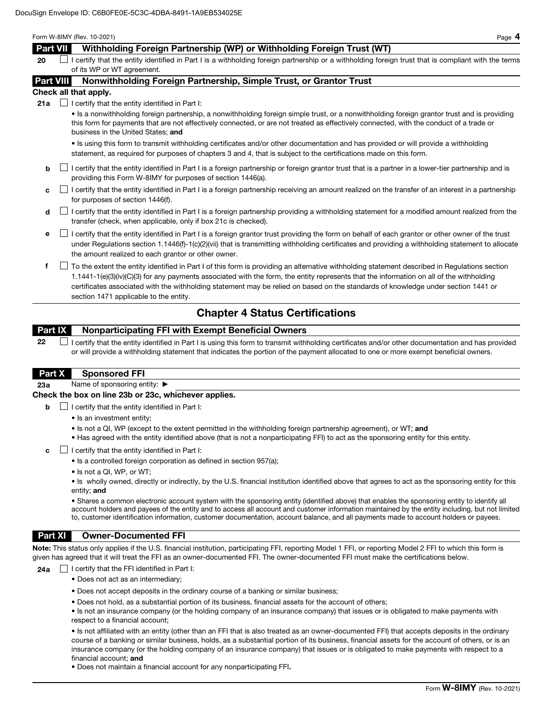#### Form W-8IMY (Rev. 10-2021) Page 4

## Part VII Withholding Foreign Partnership (WP) or Withholding Foreign Trust (WT)

 $20$  I certify that the entity identified in Part I is a withholding foreign partnership or a withholding foreign trust that is compliant with the terms of its WP or WT agreement.

## Part VIII Nonwithholding Foreign Partnership, Simple Trust, or Grantor Trust

#### Check all that apply.

**21a**  $\Box$  I certify that the entity identified in Part I:

• Is a nonwithholding foreign partnership, a nonwithholding foreign simple trust, or a nonwithholding foreign grantor trust and is providing this form for payments that are not effectively connected, or are not treated as effectively connected, with the conduct of a trade or business in the United States; and

• Is using this form to transmit withholding certificates and/or other documentation and has provided or will provide a withholding statement, as required for purposes of chapters 3 and 4, that is subject to the certifications made on this form.

- $\mathsf{b}$  I certify that the entity identified in Part I is a foreign partnership or foreign grantor trust that is a partner in a lower-tier partnership and is providing this Form W-8IMY for purposes of section 1446(a).
- $c \Box$  I certify that the entity identified in Part I is a foreign partnership receiving an amount realized on the transfer of an interest in a partnership for purposes of section 1446(f).
- d **I** certify that the entity identified in Part I is a foreign partnership providing a withholding statement for a modified amount realized from the transfer (check, when applicable, only if box 21c is checked).
- e I certify that the entity identified in Part I is a foreign grantor trust providing the form on behalf of each grantor or other owner of the trust under Regulations section 1.1446(f)-1(c)(2)(vii) that is transmitting withholding certificates and providing a withholding statement to allocate the amount realized to each grantor or other owner.
- f To the extent the entity identified in Part I of this form is providing an alternative withholding statement described in Regulations section 1.1441-1(e)(3)(iv)(C)(3) for any payments associated with the form, the entity represents that the information on all of the withholding certificates associated with the withholding statement may be relied on based on the standards of knowledge under section 1441 or section 1471 applicable to the entity.

# Chapter 4 Status Certifications

# Part IX Nonparticipating FFI with Exempt Beneficial Owners

 $22$   $\Box$  I certify that the entity identified in Part I is using this form to transmit withholding certificates and/or other documentation and has provided or will provide a withholding statement that indicates the portion of the payment allocated to one or more exempt beneficial owners.

## Part X Sponsored FFI

23a Name of sponsoring entity: ▶

### Check the box on line 23b or 23c, whichever applies.

- $\Box$  I certify that the entity identified in Part I:
	- Is an investment entity;
	- Is not a QI, WP (except to the extent permitted in the withholding foreign partnership agreement), or WT; and
	- Has agreed with the entity identified above (that is not a nonparticipating FFI) to act as the sponsoring entity for this entity.
- c  $\Box$  I certify that the entity identified in Part I:
	- Is a controlled foreign corporation as defined in section 957(a);
	- Is not a QI, WP, or WT;

• Is wholly owned, directly or indirectly, by the U.S. financial institution identified above that agrees to act as the sponsoring entity for this entity; and

• Shares a common electronic account system with the sponsoring entity (identified above) that enables the sponsoring entity to identify all account holders and payees of the entity and to access all account and customer information maintained by the entity including, but not limited to, customer identification information, customer documentation, account balance, and all payments made to account holders or payees.

## Part XI Owner-Documented FFI

Note: This status only applies if the U.S. financial institution, participating FFI, reporting Model 1 FFI, or reporting Model 2 FFI to which this form is given has agreed that it will treat the FFI as an owner-documented FFI. The owner-documented FFI must make the certifications below.

24a  $\Box$  I certify that the FFI identified in Part I:

- Does not act as an intermediary;
- Does not accept deposits in the ordinary course of a banking or similar business;
- Does not hold, as a substantial portion of its business, financial assets for the account of others;
- Is not an insurance company (or the holding company of an insurance company) that issues or is obligated to make payments with respect to a financial account;

• Is not affiliated with an entity (other than an FFI that is also treated as an owner-documented FFI) that accepts deposits in the ordinary course of a banking or similar business, holds, as a substantial portion of its business, financial assets for the account of others, or is an insurance company (or the holding company of an insurance company) that issues or is obligated to make payments with respect to a financial account; and

• Does not maintain a financial account for any nonparticipating FFI.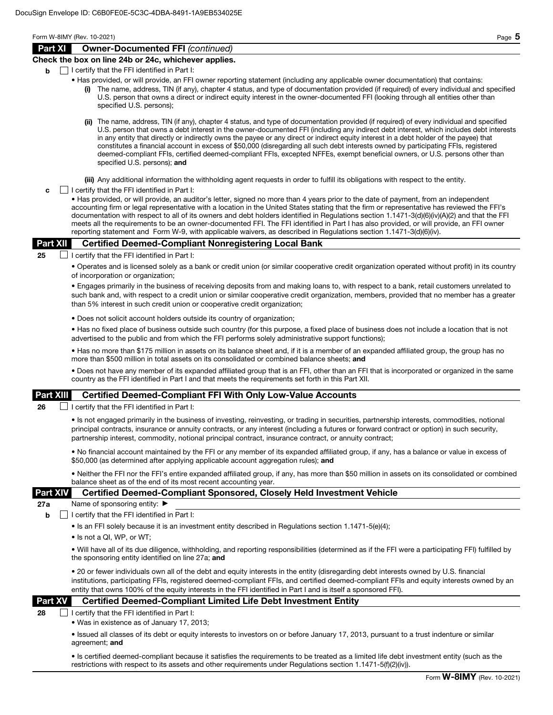## Part XI Owner-Documented FFI *(continued)*

#### Check the box on line 24b or 24c, whichever applies.

- $\mathbf{b}$   $\Box$  I certify that the FFI identified in Part I:
	- Has provided, or will provide, an FFI owner reporting statement (including any applicable owner documentation) that contains:
		- The name, address, TIN (if any), chapter 4 status, and type of documentation provided (if required) of every individual and specified U.S. person that owns a direct or indirect equity interest in the owner-documented FFI (looking through all entities other than specified U.S. persons);
		- (ii) The name, address, TIN (if any), chapter 4 status, and type of documentation provided (if required) of every individual and specified U.S. person that owns a debt interest in the owner-documented FFI (including any indirect debt interest, which includes debt interests in any entity that directly or indirectly owns the payee or any direct or indirect equity interest in a debt holder of the payee) that constitutes a financial account in excess of \$50,000 (disregarding all such debt interests owned by participating FFIs, registered deemed-compliant FFIs, certified deemed-compliant FFIs, excepted NFFEs, exempt beneficial owners, or U.S. persons other than specified U.S. persons); and

(iii) Any additional information the withholding agent requests in order to fulfill its obligations with respect to the entity.

 $\mathbf{c}$   $\Box$  I certify that the FFI identified in Part I:

• Has provided, or will provide, an auditor's letter, signed no more than 4 years prior to the date of payment, from an independent accounting firm or legal representative with a location in the United States stating that the firm or representative has reviewed the FFI's documentation with respect to all of its owners and debt holders identified in Regulations section 1.1471-3(d)(6)(iv)(A)(2) and that the FFI meets all the requirements to be an owner-documented FFI. The FFI identified in Part I has also provided, or will provide, an FFI owner reporting statement and Form W-9, with applicable waivers, as described in Regulations section 1.1471-3(d)(6)(iv).

### Part XII Certified Deemed-Compliant Nonregistering Local Bank

25  $\Box$  I certify that the FFI identified in Part I:

• Operates and is licensed solely as a bank or credit union (or similar cooperative credit organization operated without profit) in its country of incorporation or organization;

• Engages primarily in the business of receiving deposits from and making loans to, with respect to a bank, retail customers unrelated to such bank and, with respect to a credit union or similar cooperative credit organization, members, provided that no member has a greater than 5% interest in such credit union or cooperative credit organization;

• Does not solicit account holders outside its country of organization;

• Has no fixed place of business outside such country (for this purpose, a fixed place of business does not include a location that is not advertised to the public and from which the FFI performs solely administrative support functions);

• Has no more than \$175 million in assets on its balance sheet and, if it is a member of an expanded affiliated group, the group has no more than \$500 million in total assets on its consolidated or combined balance sheets; and

• Does not have any member of its expanded affiliated group that is an FFI, other than an FFI that is incorporated or organized in the same country as the FFI identified in Part I and that meets the requirements set forth in this Part XII.

### Part XIII Certified Deemed-Compliant FFI With Only Low-Value Accounts

**26**  $\Box$  I certify that the FFI identified in Part I:

• Is not engaged primarily in the business of investing, reinvesting, or trading in securities, partnership interests, commodities, notional principal contracts, insurance or annuity contracts, or any interest (including a futures or forward contract or option) in such security, partnership interest, commodity, notional principal contract, insurance contract, or annuity contract;

• No financial account maintained by the FFI or any member of its expanded affiliated group, if any, has a balance or value in excess of \$50,000 (as determined after applying applicable account aggregation rules); and

• Neither the FFI nor the FFI's entire expanded affiliated group, if any, has more than \$50 million in assets on its consolidated or combined balance sheet as of the end of its most recent accounting year.

### Part XIV Certified Deemed-Compliant Sponsored, Closely Held Investment Vehicle

27a Name of sponsoring entity: ▶

 $\mathbf{b}$  | I certify that the FFI identified in Part I:

• Is an FFI solely because it is an investment entity described in Regulations section 1.1471-5(e)(4);

• Is not a QI, WP, or WT;

• Will have all of its due diligence, withholding, and reporting responsibilities (determined as if the FFI were a participating FFI) fulfilled by the sponsoring entity identified on line 27a; and

• 20 or fewer individuals own all of the debt and equity interests in the entity (disregarding debt interests owned by U.S. financial institutions, participating FFIs, registered deemed-compliant FFIs, and certified deemed-compliant FFIs and equity interests owned by an entity that owns 100% of the equity interests in the FFI identified in Part I and is itself a sponsored FFI).

### Part XV Certified Deemed-Compliant Limited Life Debt Investment Entity

 $28$  | | certify that the FFI identified in Part I:

• Was in existence as of January 17, 2013;

• Issued all classes of its debt or equity interests to investors on or before January 17, 2013, pursuant to a trust indenture or similar agreement; and

• Is certified deemed-compliant because it satisfies the requirements to be treated as a limited life debt investment entity (such as the restrictions with respect to its assets and other requirements under Regulations section 1.1471-5(f)(2)(iv)).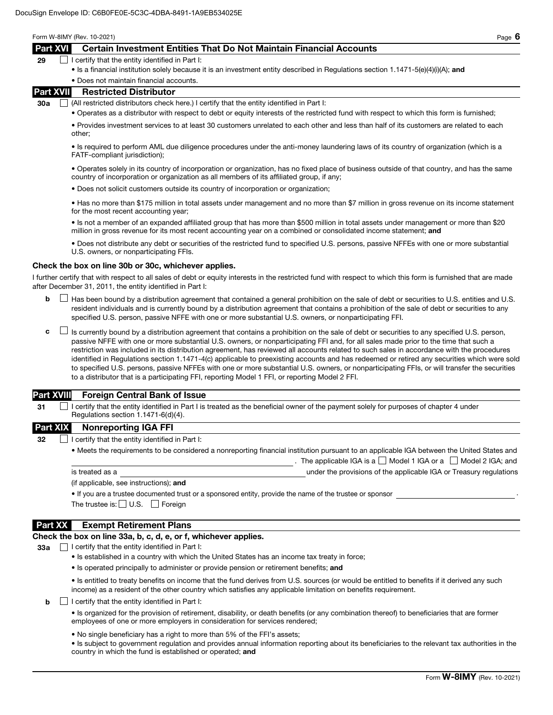Form W-8IMY (Rev. 10-2021) Page 6

## Part XVI Certain Investment Entities That Do Not Maintain Financial Accounts

## 29  $\Box$  I certify that the entity identified in Part I:

• Is a financial institution solely because it is an investment entity described in Regulations section 1.1471-5(e)(4)(i)(A); and

#### • Does not maintain financial accounts.

### Part XVII Restricted Distributor

30a  $\Box$  (All restricted distributors check here.) I certify that the entity identified in Part I:

• Operates as a distributor with respect to debt or equity interests of the restricted fund with respect to which this form is furnished;

• Provides investment services to at least 30 customers unrelated to each other and less than half of its customers are related to each other;

• Is required to perform AML due diligence procedures under the anti-money laundering laws of its country of organization (which is a FATF-compliant jurisdiction);

• Operates solely in its country of incorporation or organization, has no fixed place of business outside of that country, and has the same country of incorporation or organization as all members of its affiliated group, if any;

• Does not solicit customers outside its country of incorporation or organization;

• Has no more than \$175 million in total assets under management and no more than \$7 million in gross revenue on its income statement for the most recent accounting year;

• Is not a member of an expanded affiliated group that has more than \$500 million in total assets under management or more than \$20 million in gross revenue for its most recent accounting year on a combined or consolidated income statement; and

• Does not distribute any debt or securities of the restricted fund to specified U.S. persons, passive NFFEs with one or more substantial U.S. owners, or nonparticipating FFIs.

#### Check the box on line 30b or 30c, whichever applies.

I further certify that with respect to all sales of debt or equity interests in the restricted fund with respect to which this form is furnished that are made after December 31, 2011, the entity identified in Part I:

- $\mathsf{b}$   $\Box$  Has been bound by a distribution agreement that contained a general prohibition on the sale of debt or securities to U.S. entities and U.S. resident individuals and is currently bound by a distribution agreement that contains a prohibition of the sale of debt or securities to any specified U.S. person, passive NFFE with one or more substantial U.S. owners, or nonparticipating FFI.
- $\mathsf{c}$   $\Box$  Is currently bound by a distribution agreement that contains a prohibition on the sale of debt or securities to any specified U.S. person, passive NFFE with one or more substantial U.S. owners, or nonparticipating FFI and, for all sales made prior to the time that such a restriction was included in its distribution agreement, has reviewed all accounts related to such sales in accordance with the procedures identified in Regulations section 1.1471-4(c) applicable to preexisting accounts and has redeemed or retired any securities which were sold to specified U.S. persons, passive NFFEs with one or more substantial U.S. owners, or nonparticipating FFIs, or will transfer the securities to a distributor that is a participating FFI, reporting Model 1 FFI, or reporting Model 2 FFI.

### Part XVIII Foreign Central Bank of Issue

 $31$  I certify that the entity identified in Part I is treated as the beneficial owner of the payment solely for purposes of chapter 4 under Regulations section 1.1471-6(d)(4).

#### Part XIX Nonreporting IGA FFI

32  $\Box$  I certify that the entity identified in Part I:

• Meets the requirements to be considered a nonreporting financial institution pursuant to an applicable IGA between the United States and . The applicable IGA is a  $\Box$  Model 1 IGA or a  $\Box$  Model 2 IGA; and is treated as a under the provisions of the applicable IGA or Treasury regulations

(if applicable, see instructions); and

• If you are a trustee documented trust or a sponsored entity, provide the name of the trustee or sponsor .

The trustee is:  $\Box$  U.S.  $\Box$  Foreign

## Part XX Exempt Retirement Plans

### Check the box on line 33a, b, c, d, e, or f, whichever applies.

 $33a$   $\Box$  I certify that the entity identified in Part I:

- Is established in a country with which the United States has an income tax treaty in force;
- Is operated principally to administer or provide pension or retirement benefits; and

• Is entitled to treaty benefits on income that the fund derives from U.S. sources (or would be entitled to benefits if it derived any such income) as a resident of the other country which satisfies any applicable limitation on benefits requirement.

 $\mathbf{b}$   $\Box$  I certify that the entity identified in Part I:

• Is organized for the provision of retirement, disability, or death benefits (or any combination thereof) to beneficiaries that are former employees of one or more employers in consideration for services rendered;

• No single beneficiary has a right to more than 5% of the FFI's assets;

• Is subject to government regulation and provides annual information reporting about its beneficiaries to the relevant tax authorities in the country in which the fund is established or operated; and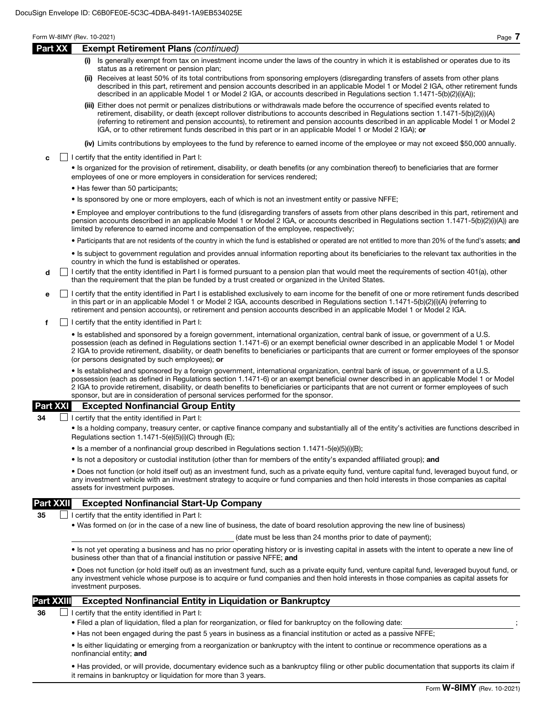## Form W-8IMY (Rev. 10-2021) Page 7 Part XX Exempt Retirement Plans *(continued)* Is generally exempt from tax on investment income under the laws of the country in which it is established or operates due to its status as a retirement or pension plan; (ii) Receives at least 50% of its total contributions from sponsoring employers (disregarding transfers of assets from other plans described in this part, retirement and pension accounts described in an applicable Model 1 or Model 2 IGA, other retirement funds described in an applicable Model 1 or Model 2 IGA, or accounts described in Regulations section 1.1471-5(b)(2)(i)(A)); (iii) Either does not permit or penalizes distributions or withdrawals made before the occurrence of specified events related to retirement, disability, or death (except rollover distributions to accounts described in Regulations section 1.1471-5(b)(2)(i)(A) (referring to retirement and pension accounts), to retirement and pension accounts described in an applicable Model 1 or Model 2 IGA, or to other retirement funds described in this part or in an applicable Model 1 or Model 2 IGA); or (iv) Limits contributions by employees to the fund by reference to earned income of the employee or may not exceed \$50,000 annually.  $\mathbf{c}$   $\Box$  I certify that the entity identified in Part I: • Is organized for the provision of retirement, disability, or death benefits (or any combination thereof) to beneficiaries that are former employees of one or more employers in consideration for services rendered; • Has fewer than 50 participants; • Is sponsored by one or more employers, each of which is not an investment entity or passive NFFE; • Employee and employer contributions to the fund (disregarding transfers of assets from other plans described in this part, retirement and pension accounts described in an applicable Model 1 or Model 2 IGA, or accounts described in Regulations section 1.1471-5(b)(2)(i)(A)) are limited by reference to earned income and compensation of the employee, respectively; • Participants that are not residents of the country in which the fund is established or operated are not entitled to more than 20% of the fund's assets; and • Is subject to government regulation and provides annual information reporting about its beneficiaries to the relevant tax authorities in the country in which the fund is established or operates.  $\mathbf d$  I certify that the entity identified in Part I is formed pursuant to a pension plan that would meet the requirements of section 401(a), other than the requirement that the plan be funded by a trust created or organized in the United States. e I certify that the entity identified in Part I is established exclusively to earn income for the benefit of one or more retirement funds described in this part or in an applicable Model 1 or Model 2 IGA, accounts described in Regulations section 1.1471-5(b)(2)(i)(A) (referring to retirement and pension accounts), or retirement and pension accounts described in an applicable Model 1 or Model 2 IGA.  $\mathbf{f}$   $\Box$  I certify that the entity identified in Part I: • Is established and sponsored by a foreign government, international organization, central bank of issue, or government of a U.S. possession (each as defined in Regulations section 1.1471-6) or an exempt beneficial owner described in an applicable Model 1 or Model 2 IGA to provide retirement, disability, or death benefits to beneficiaries or participants that are current or former employees of the sponsor (or persons designated by such employees); or • Is established and sponsored by a foreign government, international organization, central bank of issue, or government of a U.S. possession (each as defined in Regulations section 1.1471-6) or an exempt beneficial owner described in an applicable Model 1 or Model 2 IGA to provide retirement, disability, or death benefits to beneficiaries or participants that are not current or former employees of such sponsor, but are in consideration of personal services performed for the sponsor. Part XXI Excepted Nonfinancial Group Entity  $34$   $\Box$  I certify that the entity identified in Part I: • Is a holding company, treasury center, or captive finance company and substantially all of the entity's activities are functions described in Regulations section 1.1471-5(e)(5)(i)(C) through (E); • Is a member of a nonfinancial group described in Regulations section 1.1471-5(e)(5)(i)(B); • Is not a depository or custodial institution (other than for members of the entity's expanded affiliated group); and • Does not function (or hold itself out) as an investment fund, such as a private equity fund, venture capital fund, leveraged buyout fund, or any investment vehicle with an investment strategy to acquire or fund companies and then hold interests in those companies as capital assets for investment purposes. Part XXII Excepted Nonfinancial Start-Up Company 35  $\Box$  I certify that the entity identified in Part I: • Was formed on (or in the case of a new line of business, the date of board resolution approving the new line of business) (date must be less than 24 months prior to date of payment); • Is not yet operating a business and has no prior operating history or is investing capital in assets with the intent to operate a new line of business other than that of a financial institution or passive NFFE; and • Does not function (or hold itself out) as an investment fund, such as a private equity fund, venture capital fund, leveraged buyout fund, or any investment vehicle whose purpose is to acquire or fund companies and then hold interests in those companies as capital assets for investment purposes.

## **Part XXIII** Excepted Nonfinancial Entity in Liquidation or Bankruptcy

 $36$  | | certify that the entity identified in Part I:

- Filed a plan of liquidation, filed a plan for reorganization, or filed for bankruptcy on the following date: ;
- Has not been engaged during the past 5 years in business as a financial institution or acted as a passive NFFE;

• Is either liquidating or emerging from a reorganization or bankruptcy with the intent to continue or recommence operations as a nonfinancial entity; and

• Has provided, or will provide, documentary evidence such as a bankruptcy filing or other public documentation that supports its claim if it remains in bankruptcy or liquidation for more than 3 years.